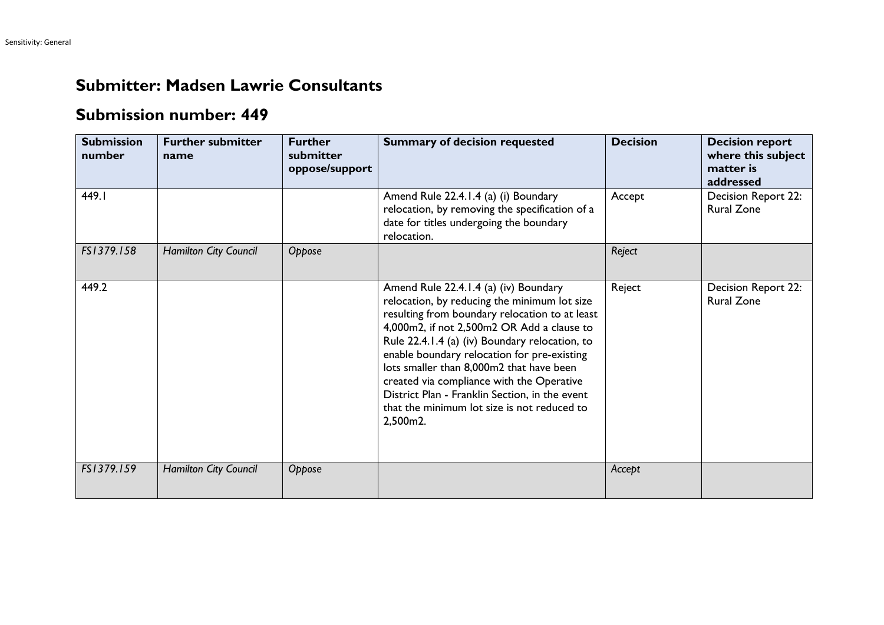## **Submitter: Madsen Lawrie Consultants**

## **Submission number: 449**

| <b>Submission</b><br>number | <b>Further submitter</b><br>name | <b>Further</b><br>submitter<br>oppose/support | <b>Summary of decision requested</b>                                                                                                                                                                                                                                                                                                                                                                                                                                                         | <b>Decision</b> | <b>Decision report</b><br>where this subject<br>matter is<br>addressed |
|-----------------------------|----------------------------------|-----------------------------------------------|----------------------------------------------------------------------------------------------------------------------------------------------------------------------------------------------------------------------------------------------------------------------------------------------------------------------------------------------------------------------------------------------------------------------------------------------------------------------------------------------|-----------------|------------------------------------------------------------------------|
| 449.I                       |                                  |                                               | Amend Rule 22.4.1.4 (a) (i) Boundary<br>relocation, by removing the specification of a<br>date for titles undergoing the boundary<br>relocation.                                                                                                                                                                                                                                                                                                                                             | Accept          | Decision Report 22:<br><b>Rural Zone</b>                               |
| FS1379.158                  | <b>Hamilton City Council</b>     | Oppose                                        |                                                                                                                                                                                                                                                                                                                                                                                                                                                                                              | Reject          |                                                                        |
| 449.2                       |                                  |                                               | Amend Rule 22.4.1.4 (a) (iv) Boundary<br>relocation, by reducing the minimum lot size<br>resulting from boundary relocation to at least<br>4,000m2, if not 2,500m2 OR Add a clause to<br>Rule 22.4.1.4 (a) (iv) Boundary relocation, to<br>enable boundary relocation for pre-existing<br>lots smaller than 8,000m2 that have been<br>created via compliance with the Operative<br>District Plan - Franklin Section, in the event<br>that the minimum lot size is not reduced to<br>2,500m2. | Reject          | <b>Decision Report 22:</b><br><b>Rural Zone</b>                        |
| FS1379.159                  | Hamilton City Council            | Oppose                                        |                                                                                                                                                                                                                                                                                                                                                                                                                                                                                              | Accept          |                                                                        |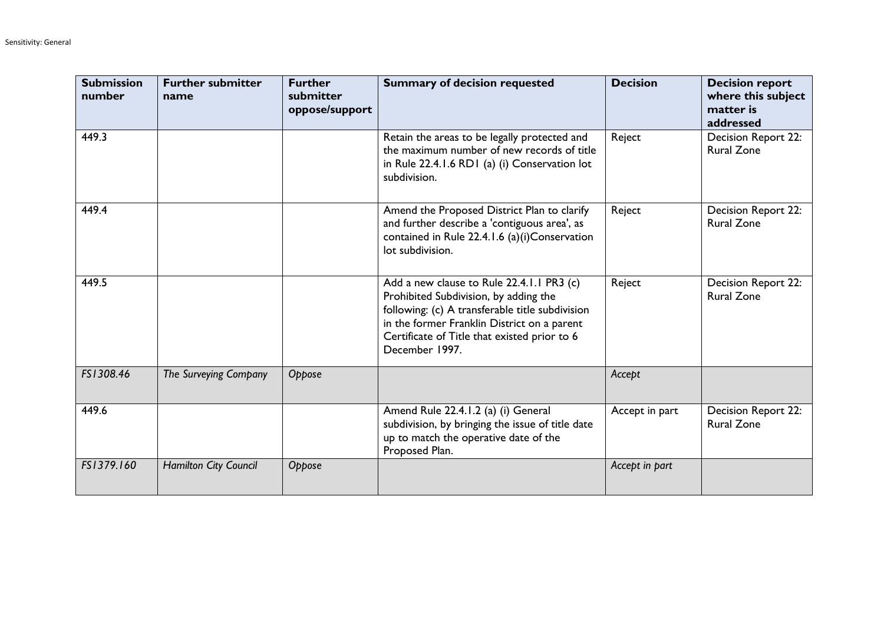| <b>Submission</b><br>number | <b>Further submitter</b><br>name | <b>Further</b><br>submitter<br>oppose/support | <b>Summary of decision requested</b>                                                                                                                                                                                                                   | <b>Decision</b> | <b>Decision report</b><br>where this subject<br>matter is<br>addressed |
|-----------------------------|----------------------------------|-----------------------------------------------|--------------------------------------------------------------------------------------------------------------------------------------------------------------------------------------------------------------------------------------------------------|-----------------|------------------------------------------------------------------------|
| 449.3                       |                                  |                                               | Retain the areas to be legally protected and<br>the maximum number of new records of title<br>in Rule 22.4.1.6 RD1 (a) (i) Conservation lot<br>subdivision.                                                                                            | Reject          | Decision Report 22:<br><b>Rural Zone</b>                               |
| 449.4                       |                                  |                                               | Amend the Proposed District Plan to clarify<br>and further describe a 'contiguous area', as<br>contained in Rule 22.4.1.6 (a)(i)Conservation<br>lot subdivision.                                                                                       | Reject          | <b>Decision Report 22:</b><br><b>Rural Zone</b>                        |
| 449.5                       |                                  |                                               | Add a new clause to Rule 22.4.1.1 PR3 (c)<br>Prohibited Subdivision, by adding the<br>following: (c) A transferable title subdivision<br>in the former Franklin District on a parent<br>Certificate of Title that existed prior to 6<br>December 1997. | Reject          | Decision Report 22:<br><b>Rural Zone</b>                               |
| FS1308.46                   | The Surveying Company            | Oppose                                        |                                                                                                                                                                                                                                                        | Accept          |                                                                        |
| 449.6                       |                                  |                                               | Amend Rule 22.4.1.2 (a) (i) General<br>subdivision, by bringing the issue of title date<br>up to match the operative date of the<br>Proposed Plan.                                                                                                     | Accept in part  | <b>Decision Report 22:</b><br><b>Rural Zone</b>                        |
| FS1379.160                  | Hamilton City Council            | Oppose                                        |                                                                                                                                                                                                                                                        | Accept in part  |                                                                        |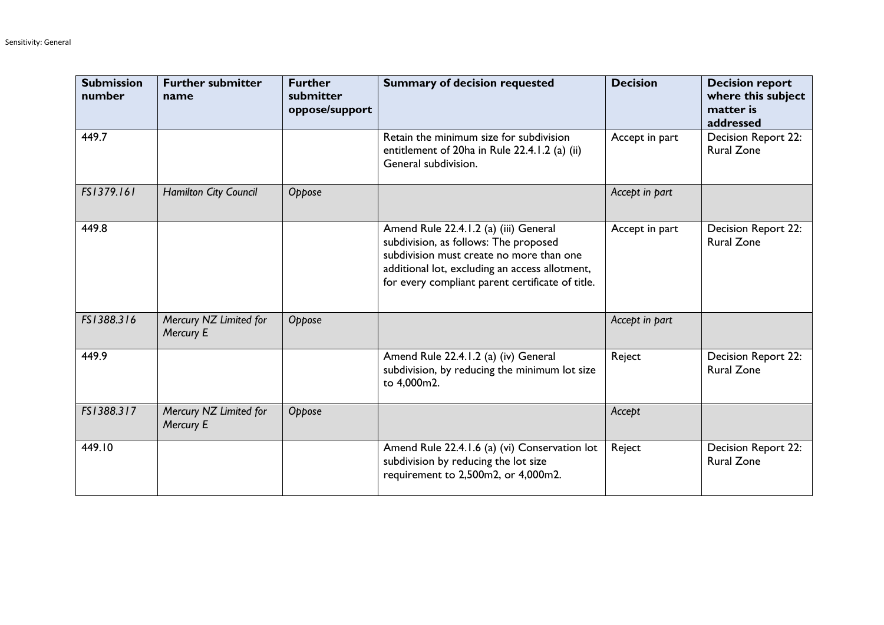| <b>Submission</b><br>number | <b>Further submitter</b><br>name    | <b>Further</b><br>submitter<br>oppose/support | <b>Summary of decision requested</b>                                                                                                                                                                                             | <b>Decision</b> | <b>Decision report</b><br>where this subject<br>matter is<br>addressed |
|-----------------------------|-------------------------------------|-----------------------------------------------|----------------------------------------------------------------------------------------------------------------------------------------------------------------------------------------------------------------------------------|-----------------|------------------------------------------------------------------------|
| 449.7                       |                                     |                                               | Retain the minimum size for subdivision<br>entitlement of 20ha in Rule 22.4.1.2 (a) (ii)<br>General subdivision.                                                                                                                 | Accept in part  | Decision Report 22:<br><b>Rural Zone</b>                               |
| FS1379.161                  | Hamilton City Council               | Oppose                                        |                                                                                                                                                                                                                                  | Accept in part  |                                                                        |
| 449.8                       |                                     |                                               | Amend Rule 22.4.1.2 (a) (iii) General<br>subdivision, as follows: The proposed<br>subdivision must create no more than one<br>additional lot, excluding an access allotment,<br>for every compliant parent certificate of title. | Accept in part  | Decision Report 22:<br><b>Rural Zone</b>                               |
| FS1388.316                  | Mercury NZ Limited for<br>Mercury E | Oppose                                        |                                                                                                                                                                                                                                  | Accept in part  |                                                                        |
| 449.9                       |                                     |                                               | Amend Rule 22.4.1.2 (a) (iv) General<br>subdivision, by reducing the minimum lot size<br>to 4,000m2.                                                                                                                             | Reject          | <b>Decision Report 22:</b><br><b>Rural Zone</b>                        |
| FS1388.317                  | Mercury NZ Limited for<br>Mercury E | Oppose                                        |                                                                                                                                                                                                                                  | Accept          |                                                                        |
| 449.10                      |                                     |                                               | Amend Rule 22.4.1.6 (a) (vi) Conservation lot<br>subdivision by reducing the lot size<br>requirement to 2,500m2, or 4,000m2.                                                                                                     | Reject          | <b>Decision Report 22:</b><br><b>Rural Zone</b>                        |